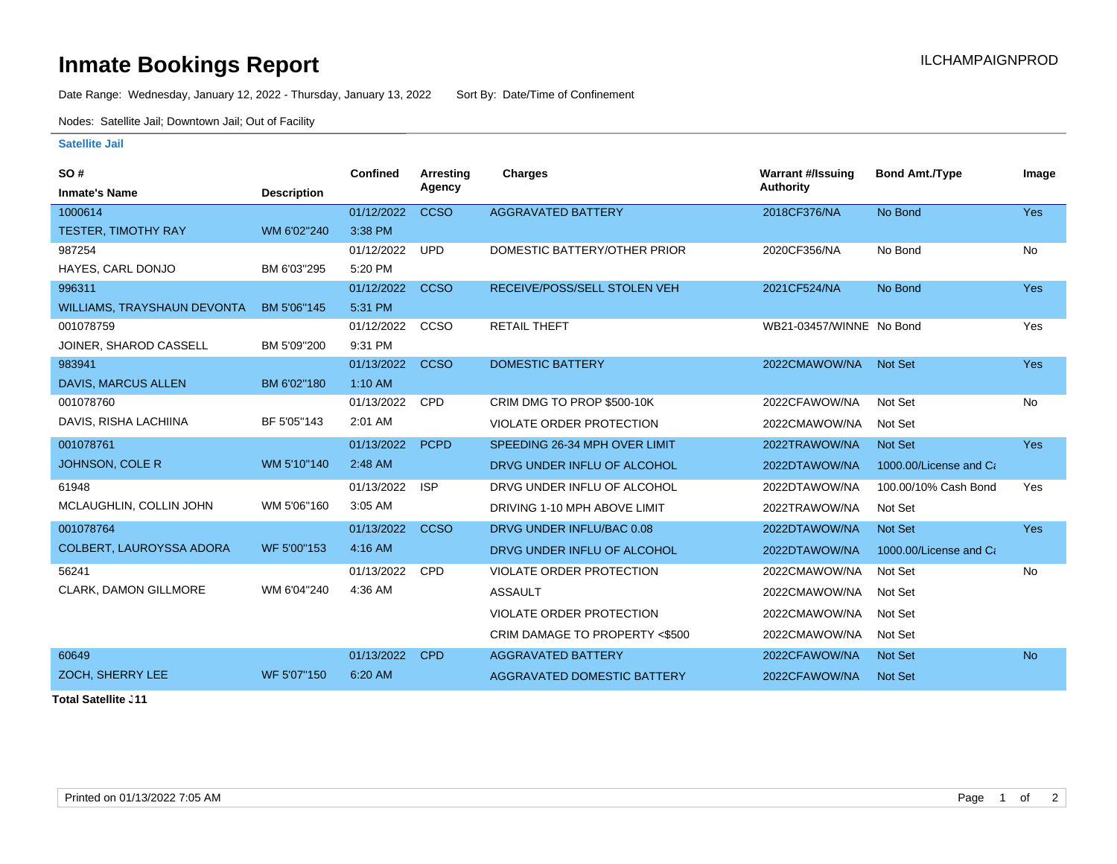## **Inmate Bookings Report Installation ILCHAMPAIGNPROD**

Date Range: Wednesday, January 12, 2022 - Thursday, January 13, 2022 Sort By: Date/Time of Confinement

Nodes: Satellite Jail; Downtown Jail; Out of Facility

## **Satellite Jail**

| <b>SO#</b>                         |                    | Confined   | <b>Arresting</b> | <b>Charges</b>                  | <b>Warrant #/Issuing</b> | <b>Bond Amt./Type</b>  | Image      |
|------------------------------------|--------------------|------------|------------------|---------------------------------|--------------------------|------------------------|------------|
| <b>Inmate's Name</b>               | <b>Description</b> |            | Agency           |                                 | <b>Authority</b>         |                        |            |
| 1000614                            |                    | 01/12/2022 | <b>CCSO</b>      | <b>AGGRAVATED BATTERY</b>       | 2018CF376/NA             | No Bond                | <b>Yes</b> |
| <b>TESTER, TIMOTHY RAY</b>         | WM 6'02"240        | 3:38 PM    |                  |                                 |                          |                        |            |
| 987254                             |                    | 01/12/2022 | <b>UPD</b>       | DOMESTIC BATTERY/OTHER PRIOR    | 2020CF356/NA             | No Bond                | No         |
| HAYES, CARL DONJO                  | BM 6'03"295        | 5:20 PM    |                  |                                 |                          |                        |            |
| 996311                             |                    | 01/12/2022 | <b>CCSO</b>      | RECEIVE/POSS/SELL STOLEN VEH    | 2021CF524/NA             | No Bond                | <b>Yes</b> |
| <b>WILLIAMS, TRAYSHAUN DEVONTA</b> | BM 5'06"145        | 5:31 PM    |                  |                                 |                          |                        |            |
| 001078759                          |                    | 01/12/2022 | CCSO             | <b>RETAIL THEFT</b>             | WB21-03457/WINNE No Bond |                        | Yes        |
| JOINER, SHAROD CASSELL             | BM 5'09"200        | 9:31 PM    |                  |                                 |                          |                        |            |
| 983941                             |                    | 01/13/2022 | <b>CCSO</b>      | <b>DOMESTIC BATTERY</b>         | 2022CMAWOW/NA            | <b>Not Set</b>         | <b>Yes</b> |
| <b>DAVIS, MARCUS ALLEN</b>         | BM 6'02"180        | 1:10 AM    |                  |                                 |                          |                        |            |
| 001078760                          |                    | 01/13/2022 | <b>CPD</b>       | CRIM DMG TO PROP \$500-10K      | 2022CFAWOW/NA            | Not Set                | No         |
| DAVIS, RISHA LACHIINA              | BF 5'05"143        | 2:01 AM    |                  | VIOLATE ORDER PROTECTION        | 2022CMAWOW/NA            | Not Set                |            |
| 001078761                          |                    | 01/13/2022 | <b>PCPD</b>      | SPEEDING 26-34 MPH OVER LIMIT   | 2022TRAWOW/NA            | <b>Not Set</b>         | <b>Yes</b> |
| JOHNSON, COLE R                    | WM 5'10"140        | 2:48 AM    |                  | DRVG UNDER INFLU OF ALCOHOL     | 2022DTAWOW/NA            | 1000.00/License and Ca |            |
| 61948                              |                    | 01/13/2022 | <b>ISP</b>       | DRVG UNDER INFLU OF ALCOHOL     | 2022DTAWOW/NA            | 100.00/10% Cash Bond   | Yes        |
| MCLAUGHLIN, COLLIN JOHN            | WM 5'06"160        | 3:05 AM    |                  | DRIVING 1-10 MPH ABOVE LIMIT    | 2022TRAWOW/NA            | Not Set                |            |
| 001078764                          |                    | 01/13/2022 | <b>CCSO</b>      | DRVG UNDER INFLU/BAC 0.08       | 2022DTAWOW/NA            | Not Set                | Yes        |
| COLBERT, LAUROYSSA ADORA           | WF 5'00"153        | 4:16 AM    |                  | DRVG UNDER INFLU OF ALCOHOL     | 2022DTAWOW/NA            | 1000.00/License and Ca |            |
| 56241                              |                    | 01/13/2022 | <b>CPD</b>       | <b>VIOLATE ORDER PROTECTION</b> | 2022CMAWOW/NA            | Not Set                | No         |
| <b>CLARK, DAMON GILLMORE</b>       | WM 6'04"240        | 4:36 AM    |                  | <b>ASSAULT</b>                  | 2022CMAWOW/NA            | Not Set                |            |
|                                    |                    |            |                  | <b>VIOLATE ORDER PROTECTION</b> | 2022CMAWOW/NA            | Not Set                |            |
|                                    |                    |            |                  | CRIM DAMAGE TO PROPERTY <\$500  | 2022CMAWOW/NA            | Not Set                |            |
| 60649                              |                    | 01/13/2022 | <b>CPD</b>       | <b>AGGRAVATED BATTERY</b>       | 2022CFAWOW/NA            | Not Set                | <b>No</b>  |
| ZOCH, SHERRY LEE                   | WF 5'07"150        | 6:20 AM    |                  | AGGRAVATED DOMESTIC BATTERY     | 2022CFAWOW/NA            | <b>Not Set</b>         |            |

**Total Satellite . 11**